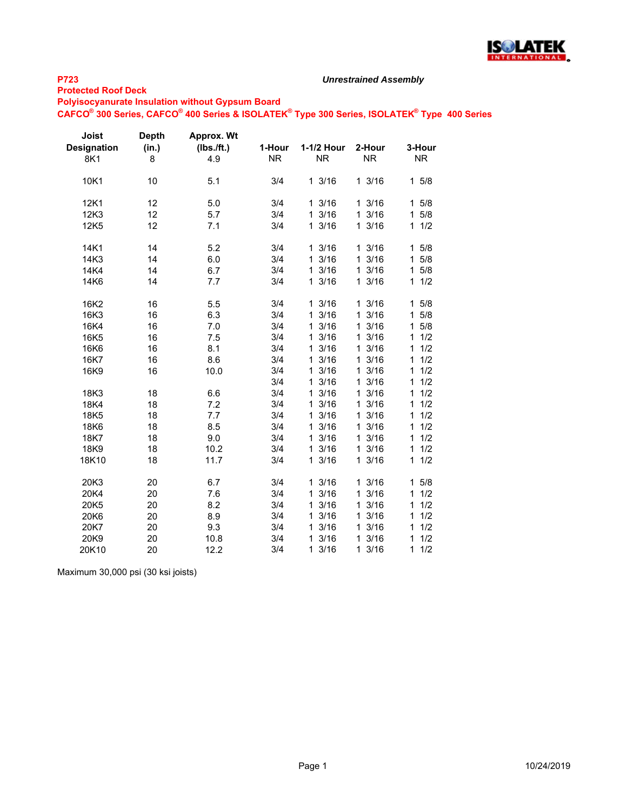

#### **Protected Roof Deck**

#### *Unrestrained Assembly*

**Polyisocyanurate Insulation without Gypsum Board**

**CAFCO® 300 Series, CAFCO® 400 Series & ISOLATEK® Type 300 Series, ISOLATEK® Type 400 Series**

| Joist<br><b>Designation</b><br>8K1 | <b>Depth</b><br>(in.)<br>8 | <b>Approx. Wt</b><br>(Ibs./ft.)<br>4.9 | 1-Hour<br><b>NR</b> | 1-1/2 Hour<br><b>NR</b> | 2-Hour<br><b>NR</b>  | 3-Hour<br><b>NR</b> |
|------------------------------------|----------------------------|----------------------------------------|---------------------|-------------------------|----------------------|---------------------|
| 10K1                               | 10                         | 5.1                                    | 3/4                 | 13/16                   | 13/16                | 15/8                |
| 12K1                               | 12                         | 5.0                                    | 3/4                 | 13/16                   | 13/16                | 15/8                |
| 12K3                               | 12                         | 5.7                                    | 3/4                 | 13/16                   | 13/16                | 5/8<br>$\mathbf{1}$ |
| 12K5                               | 12                         | 7.1                                    | 3/4                 | 13/16                   | 13/16                | 11/2                |
| 14K1                               | 14                         | 5.2                                    | 3/4                 | 13/16                   | 13/16                | 15/8                |
| 14K3                               | 14                         | 6.0                                    | 3/4                 | 13/16                   | 13/16                | 5/8<br>1            |
| 14K4                               | 14                         | 6.7                                    | 3/4                 | 13/16                   | 13/16                | 5/8<br>$\mathbf{1}$ |
| 14K6                               | 14                         | 7.7                                    | 3/4                 | 13/16                   | 13/16                | 11/2                |
| 16K2                               | 16                         | 5.5                                    | 3/4                 | 13/16                   | 13/16                | 15/8                |
| 16K3                               | 16                         | 6.3                                    | 3/4                 | 13/16                   | 13/16                | 5/8<br>$\mathbf 1$  |
| 16K4                               | 16                         | 7.0                                    | 3/4                 | 13/16                   | 3/16<br>$\mathbf{1}$ | 15/8                |
| 16K5                               | 16                         | 7.5                                    | 3/4                 | 13/16                   | 13/16                | 1/2<br>1            |
| 16K6                               | 16                         | 8.1                                    | 3/4                 | 13/16                   | 3/16<br>$\mathbf{1}$ | 1/2<br>1            |
| 16K7                               | 16                         | 8.6                                    | 3/4                 | 13/16                   | 3/16<br>$\mathbf{1}$ | 1/2<br>1            |
| 16K9                               | 16                         | 10.0                                   | 3/4                 | 13/16                   | 13/16                | 1/2<br>1            |
|                                    |                            |                                        | 3/4                 | 13/16                   | 13/16                | 1/2<br>1            |
| 18K3                               | 18                         | 6.6                                    | 3/4                 | 13/16                   | 13/16                | 1/2<br>1            |
| 18K4                               | 18                         | 7.2                                    | 3/4                 | 13/16                   | 13/16                | 1/2<br>1            |
| 18K5                               | 18                         | 7.7                                    | 3/4                 | 3/16<br>1               | 13/16                | 1/2<br>1            |
| 18K6                               | 18                         | 8.5                                    | 3/4                 | 3/16<br>$\mathbf 1$     | 13/16                | 1/2<br>1            |
| 18K7                               | 18                         | 9.0                                    | 3/4                 | 3/16<br>$\mathbf{1}$    | 13/16                | 1/2<br>1            |
| 18K9                               | 18                         | 10.2                                   | 3/4                 | $\mathbf{1}$<br>3/16    | 13/16                | 1/2<br>1            |
| 18K10                              | 18                         | 11.7                                   | 3/4                 | 13/16                   | 13/16                | 1<br>1/2            |
| 20K3                               | 20                         | 6.7                                    | 3/4                 | 13/16                   | 13/16                | 5/8<br>1            |
| 20K4                               | 20                         | 7.6                                    | 3/4                 | 13/16                   | 3/16<br>$\mathbf{1}$ | 1/2<br>1            |
| 20K5                               | 20                         | 8.2                                    | 3/4                 | 13/16                   | 13/16                | 1/2<br>1            |
| 20K6                               | 20                         | 8.9                                    | 3/4                 | 13/16                   | 13/16                | 1/2<br>1            |
| 20K7                               | 20                         | 9.3                                    | 3/4                 | 13/16                   | 13/16                | 1/2<br>1            |
| 20K9                               | 20                         | 10.8                                   | 3/4                 | 13/16                   | 13/16                | 1/2<br>1            |
| 20K10                              | 20                         | 12.2                                   | 3/4                 | 13/16                   | 3/16<br>$\mathbf{1}$ | 1<br>1/2            |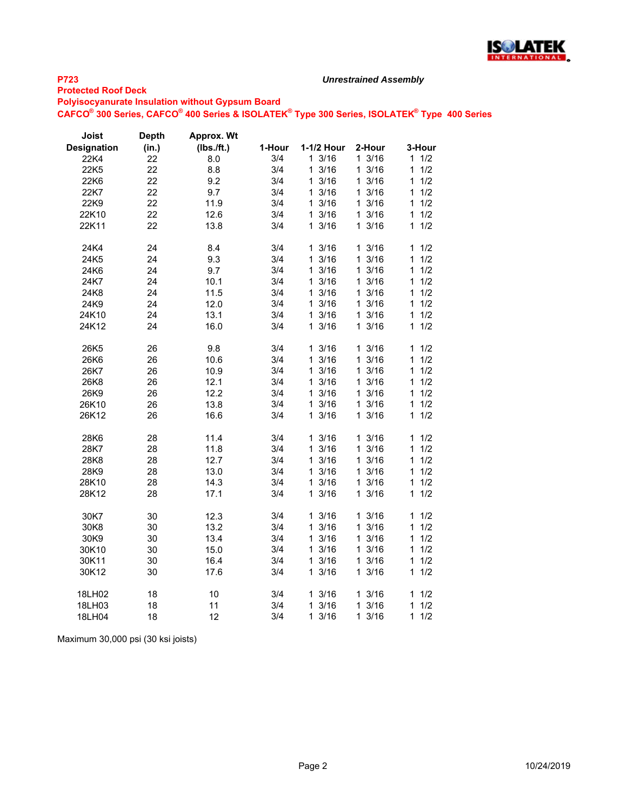

#### **Protected Roof Deck**

**Polyisocyanurate Insulation without Gypsum Board**

**CAFCO® 300 Series, CAFCO® 400 Series & ISOLATEK® Type 300 Series, ISOLATEK® Type 400 Series**

*Unrestrained Assembly*

| Joist              | <b>Depth</b> | Approx. Wt |        |                      |                  |                     |
|--------------------|--------------|------------|--------|----------------------|------------------|---------------------|
| <b>Designation</b> | (in.)        | (Ibs./ft.) | 1-Hour | 1-1/2 Hour           | 2-Hour           | 3-Hour              |
| 22K4               | 22           | 8.0        | 3/4    | 13/16                | $1 \frac{3}{16}$ | 1/2<br>1.           |
| 22K5               | 22           | 8.8        | 3/4    | 1 3/16               | $1 \frac{3}{16}$ | 1/2<br>1            |
| 22K6               | 22           | 9.2        | 3/4    | 13/16                | $1 \frac{3}{16}$ | 1/2<br>1            |
| 22K7               | 22           | 9.7        | 3/4    | 13/16                | 13/16            | 1/2<br>1            |
| 22K9               | 22           | 11.9       | 3/4    | 13/16                | 13/16            | 1/2<br>1            |
| 22K10              | 22           | 12.6       | 3/4    | 13/16                | $1 \frac{3}{16}$ | 1/2<br>1            |
| 22K11              | 22           | 13.8       | 3/4    | 13/16                | 13/16            | 1/2<br>$\mathbf 1$  |
| 24K4               | 24           | 8.4        | 3/4    | 13/16                | 13/16            | 1/2<br>1            |
| 24K5               | 24           | 9.3        | 3/4    | 13/16                | 13/16            | 1<br>1/2            |
| 24K6               | 24           | 9.7        | 3/4    | 13/16                | 13/16            | 1/2<br>1            |
| 24K7               | 24           | 10.1       | 3/4    | 13/16                | 13/16            | 1/2<br>1            |
| 24K8               | 24           | 11.5       | 3/4    | 13/16                | 13/16            | 1/2<br>1            |
| 24K9               | 24           | 12.0       | 3/4    | 3/16<br>1            | 13/16            | 1/2<br>1            |
| 24K10              | 24           | 13.1       | 3/4    | 13/16                | $1 \frac{3}{16}$ | 1<br>1/2            |
| 24K12              | 24           | 16.0       | 3/4    | 13/16                | 13/16            | 1/2<br>1            |
| 26K5               | 26           | 9.8        | 3/4    | 13/16                | 13/16            | 1/2<br>1            |
| 26K6               | 26           | 10.6       | 3/4    | 3/16<br>1            | 13/16            | 1<br>1/2            |
| 26K7               | 26           | 10.9       | 3/4    | 13/16                | 13/16            | 1/2<br>1            |
| 26K8               | 26           | 12.1       | 3/4    | 13/16                | $1 \frac{3}{16}$ | 1/2<br>1            |
| 26K9               | 26           | 12.2       | 3/4    | 13/16                | $1 \frac{3}{16}$ | 1/2<br>1            |
| 26K10              | 26           | 13.8       | 3/4    | 13/16                | 13/16            | $\mathbf{1}$<br>1/2 |
| 26K12              | 26           | 16.6       | 3/4    | 13/16                | 13/16            | 1/2<br>1.           |
| 28K6               | 28           | 11.4       | 3/4    | 13/16                | 13/16            | 11/2                |
| 28K7               | 28           | 11.8       | 3/4    | 13/16                | 13/16            | 1<br>1/2            |
| 28K8               | 28           | 12.7       | 3/4    | 3/16<br>$\mathbf{1}$ | 13/16            | 1/2<br>1            |
| 28K9               | 28           | 13.0       | 3/4    | 13/16                | 13/16            | 1/2<br>1            |
| 28K10              | 28           | 14.3       | 3/4    | 13/16                | 13/16            | 1<br>1/2            |
| 28K12              | 28           | 17.1       | 3/4    | 13/16                | 13/16            | 1/2<br>1            |
| 30K7               | 30           | 12.3       | 3/4    | 13/16                | 13/16            | 1<br>1/2            |
| 30K8               | 30           | 13.2       | 3/4    | 13/16                | 13/16            | 1/2<br>1            |
| 30K9               | 30           | 13.4       | 3/4    | 13/16                | 13/16            | 1/2<br>1            |
| 30K10              | 30           | 15.0       | 3/4    | 13/16                | 13/16            | 1/2<br>1            |
| 30K11              | 30           | 16.4       | 3/4    | 13/16                | 13/16            | 1<br>1/2            |
| 30K12              | 30           | 17.6       | 3/4    | 13/16                | 13/16            | 1/2<br>1            |
| 18LH02             | 18           | 10         | 3/4    | 13/16                | 13/16            | 1<br>1/2            |
| 18LH03             | 18           | 11         | 3/4    | 13/16                | 13/16            | 1/2<br>1            |
| 18LH04             | 18           | 12         | 3/4    | 13/16                | 13/16            | $\mathbf{1}$<br>1/2 |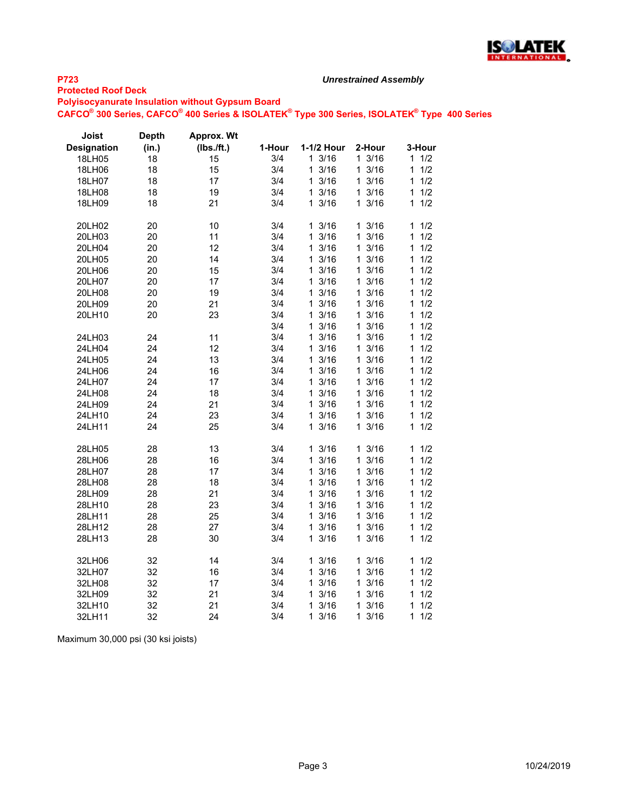

#### **Protected Roof Deck**

**Polyisocyanurate Insulation without Gypsum Board**

**CAFCO® 300 Series, CAFCO® 400 Series & ISOLATEK® Type 300 Series, ISOLATEK® Type 400 Series**

*Unrestrained Assembly*

| Joist              | <b>Depth</b> | Approx. Wt |        |                      |                      |           |
|--------------------|--------------|------------|--------|----------------------|----------------------|-----------|
| <b>Designation</b> | (in.)        | (Ibs./ft.) | 1-Hour | 1-1/2 Hour           | 2-Hour               | 3-Hour    |
| 18LH05             | 18           | 15         | 3/4    | 13/16                | 13/16                | 1/2<br>1. |
| 18LH06             | 18           | 15         | 3/4    | 13/16                | 13/16                | 1/2<br>1  |
| 18LH07             | 18           | 17         | 3/4    | 13/16                | 13/16                | 1/2<br>1  |
| 18LH08             | 18           | 19         | 3/4    | $1 \frac{3}{16}$     | 13/16                | 1/2<br>1  |
| 18LH09             | 18           | 21         | 3/4    | 13/16                | 13/16                | 1/2<br>1  |
| 20LH02             | 20           | 10         | 3/4    | 13/16                | 13/16                | 1<br>1/2  |
| 20LH03             | 20           | 11         | 3/4    | 3/16<br>1            | 13/16                | 1/2<br>1  |
| 20LH04             | 20           | 12         | 3/4    | 3/16<br>1            | 13/16                | 1/2<br>1  |
| 20LH05             | 20           | 14         | 3/4    | 13/16                | 13/16                | 1/2<br>1  |
| 20LH06             | 20           | 15         | 3/4    | 3/16<br>1            | 13/16                | 1/2<br>1  |
| 20LH07             | 20           | 17         | 3/4    | 1<br>3/16            | 13/16                | 1/2<br>1  |
| 20LH08             | 20           | 19         | 3/4    | 3/16<br>1            | 13/16                | 1/2<br>1  |
| 20LH09             | 20           | 21         | 3/4    | 3/16<br>1            | 13/16                | 1<br>1/2  |
| 20LH10             | 20           | 23         | 3/4    | 3/16<br>1            | 13/16                | 1/2<br>1  |
|                    |              |            | 3/4    | 1<br>3/16            | 13/16                | 1/2<br>1  |
| 24LH03             | 24           | 11         | 3/4    | 13/16                | 13/16                | 1/2<br>1  |
| 24LH04             | 24           | 12         | 3/4    | 13/16                | 13/16                | 1/2<br>1  |
| 24LH05             | 24           | 13         | 3/4    | 1<br>3/16            | $\mathbf{1}$<br>3/16 | 1/2<br>1  |
| 24LH06             | 24           | 16         | 3/4    | 13/16                | 13/16                | 1/2<br>1  |
| 24LH07             | 24           | 17         | 3/4    | 13/16                | 13/16                | 1/2<br>1  |
| 24LH08             | 24           | 18         | 3/4    | 3/16<br>1            | 13/16                | 1/2<br>1  |
| 24LH09             | 24           | 21         | 3/4    | 13/16                | 13/16                | 1/2<br>1  |
| 24LH10             | 24           | 23         | 3/4    | 13/16                | 13/16                | 1<br>1/2  |
| 24LH11             | 24           | 25         | 3/4    | 13/16                | 13/16                | 1/2<br>1  |
| 28LH05             | 28           | 13         | 3/4    | 13/16                | 13/16                | 1/2<br>1  |
| 28LH06             | 28           | 16         | 3/4    | 3/16<br>1            | 13/16                | 1<br>1/2  |
| 28LH07             | 28           | 17         | 3/4    | 3/16<br>1            | 13/16                | 1/2<br>1  |
| 28LH08             | 28           | 18         | 3/4    | 13/16                | 13/16                | 1/2<br>1  |
| 28LH09             | 28           | 21         | 3/4    | 13/16                | 13/16                | 1/2<br>1  |
| 28LH10             | 28           | 23         | 3/4    | 13/16                | 13/16                | 1/2<br>1  |
| 28LH11             | 28           | 25         | 3/4    | 3/16<br>1            | 13/16                | 1/2<br>1  |
| 28LH12             | 28           | 27         | 3/4    | 13/16                | 13/16                | 1/2<br>1  |
| 28LH13             | 28           | 30         | 3/4    | 13/16                | 13/16                | 1/2<br>1  |
| 32LH06             | 32           | 14         | 3/4    | 13/16                | 13/16                | 1/2<br>1  |
| 32LH07             | 32           | 16         | 3/4    | 13/16                | 13/16                | 1<br>1/2  |
| 32LH08             | 32           | 17         | 3/4    | 3/16<br>1            | 13/16                | 1/2<br>1  |
| 32LH09             | 32           | 21         | 3/4    | 3/16<br>1            | 13/16                | 1/2<br>1  |
| 32LH10             | 32           | 21         | 3/4    | $\mathbf{1}$<br>3/16 | 13/16                | 1<br>1/2  |
| 32LH11             | 32           | 24         | 3/4    | 3/16<br>1            | 3/16<br>1            | 1/2<br>1  |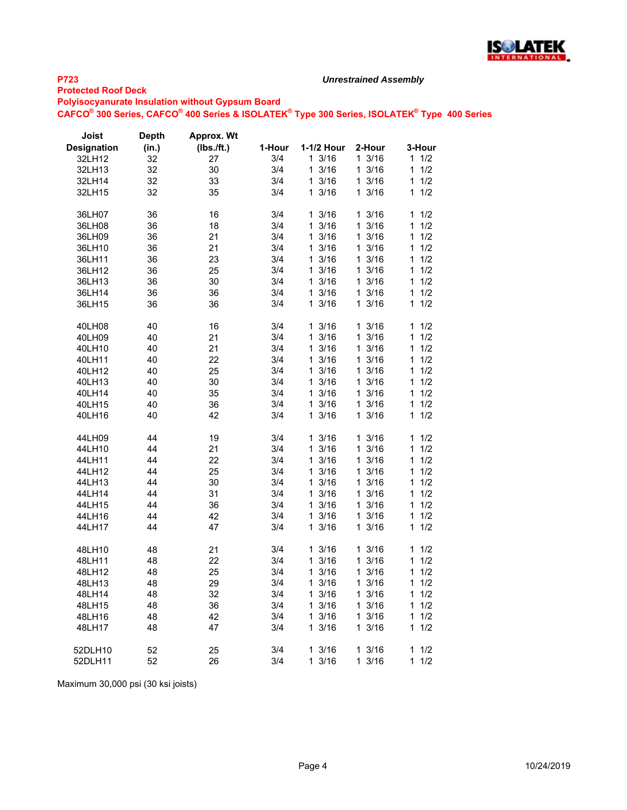

#### **Protected Roof Deck**

**Polyisocyanurate Insulation without Gypsum Board**

**CAFCO® 300 Series, CAFCO® 400 Series & ISOLATEK® Type 300 Series, ISOLATEK® Type 400 Series**

*Unrestrained Assembly*

| Joist              | <b>Depth</b> | Approx. Wt   |        |                      |                  |          |
|--------------------|--------------|--------------|--------|----------------------|------------------|----------|
| <b>Designation</b> | (in.)        | $(Ibs.$ ft.) | 1-Hour | 1-1/2 Hour           | 2-Hour           | 3-Hour   |
| 32LH12             | 32           | 27           | 3/4    | 13/16                | $1 \frac{3}{16}$ | 1<br>1/2 |
| 32LH13             | 32           | 30           | 3/4    | 13/16                | $1 \frac{3}{16}$ | 1/2<br>1 |
| 32LH14             | 32           | 33           | 3/4    | 13/16                | $1 \frac{3}{16}$ | 1/2<br>1 |
| 32LH15             | 32           | 35           | 3/4    | 13/16                | 13/16            | 1/2<br>1 |
|                    |              |              |        |                      |                  |          |
| 36LH07             | 36           | 16           | 3/4    | 13/16                | 13/16            | 1/2<br>1 |
| 36LH08             | 36           | 18           | 3/4    | 3/16<br>$\mathbf 1$  | $1 \frac{3}{16}$ | 1<br>1/2 |
| 36LH09             | 36           | 21           | 3/4    | 3/16<br>1.           | 13/16            | 1/2<br>1 |
| 36LH10             | 36           | 21           | 3/4    | 1.<br>3/16           | $1 \frac{3}{16}$ | 1<br>1/2 |
| 36LH11             | 36           | 23           | 3/4    | 1<br>3/16            | 13/16            | 1/2<br>1 |
| 36LH12             | 36           | 25           | 3/4    | 13/16                | $1 \frac{3}{16}$ | 1/2<br>1 |
| 36LH13             | 36           | 30           | 3/4    | 13/16                | $1 \frac{3}{16}$ | 1/2<br>1 |
| 36LH14             | 36           | 36           | 3/4    | 13/16                | 13/16            | 1/2<br>1 |
| 36LH15             | 36           | 36           | 3/4    | 3/16<br>$\mathbf{1}$ | 13/16            | 1/2<br>1 |
|                    |              |              |        |                      |                  |          |
| 40LH08             | 40           | 16           | 3/4    | 13/16                | 13/16            | 1<br>1/2 |
| 40LH09             | 40           | 21           | 3/4    | 3/16<br>1            | 13/16            | 1/2<br>1 |
|                    | 40           | 21           | 3/4    | 1<br>3/16            | 13/16            | 1/2<br>1 |
| 40LH10             |              |              |        |                      |                  | 1/2<br>1 |
| 40LH11             | 40           | 22           | 3/4    | 13/16                | $1 \frac{3}{16}$ |          |
| 40LH12             | 40           | 25           | 3/4    | 13/16                | $1 \frac{3}{16}$ | 1/2<br>1 |
| 40LH13             | 40           | 30           | 3/4    | 3/16<br>1            | 13/16            | 1/2<br>1 |
| 40LH14             | 40           | 35           | 3/4    | 13/16                | 13/16            | 1/2<br>1 |
| 40LH15             | 40           | 36           | 3/4    | 3/16<br>$\mathbf 1$  | $1 \frac{3}{16}$ | 1/2<br>1 |
| 40LH16             | 40           | 42           | 3/4    | 3/16<br>1.           | 13/16            | 1/2<br>1 |
|                    |              |              |        |                      |                  |          |
| 44LH09             | 44           | 19           | 3/4    | 3/16<br>1            | 3/16<br>1.       | 1/2<br>1 |
| 44LH10             | 44           | 21           | 3/4    | 13/16                | $1 \frac{3}{16}$ | 1<br>1/2 |
| 44LH11             | 44           | 22           | 3/4    | 13/16                | 13/16            | 1/2<br>1 |
| 44LH12             | 44           | 25           | 3/4    | 13/16                | 13/16            | 1<br>1/2 |
| 44LH13             | 44           | 30           | 3/4    | 3/16<br>$\mathbf 1$  | $1 \frac{3}{16}$ | 1/2<br>1 |
| 44LH14             | 44           | 31           | 3/4    | 13/16                | $1 \frac{3}{16}$ | 1/2<br>1 |
| 44LH15             | 44           | 36           | 3/4    | 3/16<br>1.           | 13/16            | 1<br>1/2 |
| 44LH16             | 44           | 42           | 3/4    | 1<br>3/16            | 13/16            | 1/2<br>1 |
| 44LH17             | 44           | 47           | 3/4    | 13/16                | 13/16            | 1/2<br>1 |
|                    |              |              |        |                      |                  |          |
| 48LH10             | 48           | 21           | 3/4    | 13/16                | 13/16            | 1/2<br>1 |
| 48LH11             | 48           | 22           | 3/4    | 3/16<br>1            | 13/16            | 1/2<br>1 |
| 48LH12             | 48           | 25           | 3/4    | 13/16                | 13/16            | 1/2<br>1 |
| 48LH13             | 48           | 29           | 3/4    | 3/16<br>$\mathbf 1$  | $1 \frac{3}{16}$ | 1/2<br>1 |
| 48LH14             | 48           | 32           | 3/4    | 3/16<br>1.           | 13/16            | 1/2<br>1 |
| 48LH15             | 48           | 36           | 3/4    | 1<br>3/16            | 13/16            | 1<br>1/2 |
| 48LH16             | 48           | 42           | 3/4    | 1<br>3/16            | 3/16<br>1.       | 1/2<br>1 |
| 48LH17             | 48           | 47           | 3/4    | 13/16                | 13/16            | 1/2<br>1 |
|                    |              |              |        |                      |                  |          |
| 52DLH10            | 52           | 25           | 3/4    | 13/16                | 13/16            | 1<br>1/2 |
| 52DLH11            | 52           | 26           | 3/4    | 3/16<br>$\mathbf{1}$ | 3/16<br>1.       | 1/2<br>1 |